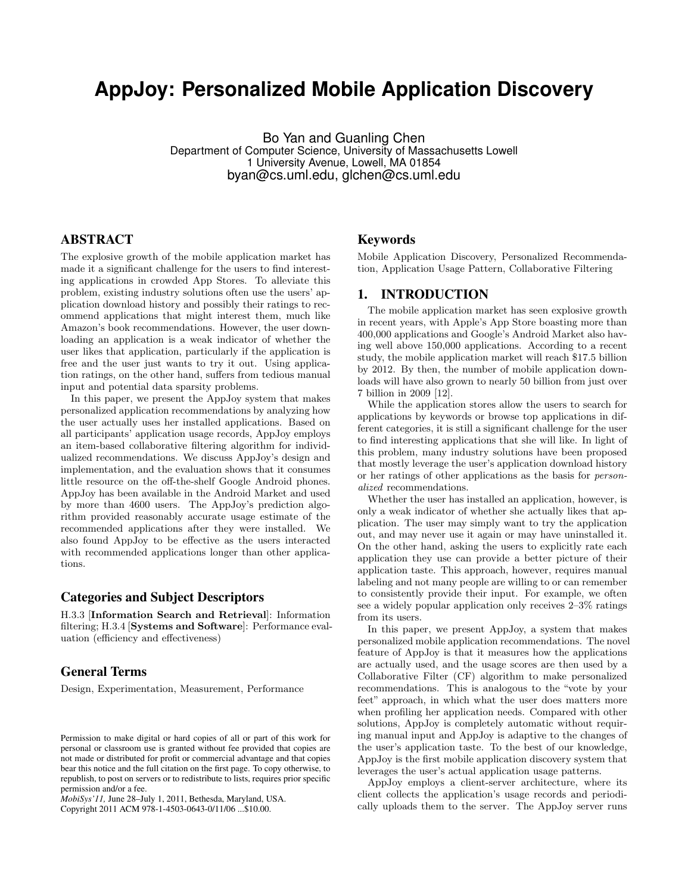# **AppJoy: Personalized Mobile Application Discovery**

Bo Yan and Guanling Chen Department of Computer Science, University of Massachusetts Lowell 1 University Avenue, Lowell, MA 01854 byan@cs.uml.edu, glchen@cs.uml.edu

# ABSTRACT

The explosive growth of the mobile application market has made it a significant challenge for the users to find interesting applications in crowded App Stores. To alleviate this problem, existing industry solutions often use the users' application download history and possibly their ratings to recommend applications that might interest them, much like Amazon's book recommendations. However, the user downloading an application is a weak indicator of whether the user likes that application, particularly if the application is free and the user just wants to try it out. Using application ratings, on the other hand, suffers from tedious manual input and potential data sparsity problems.

In this paper, we present the AppJoy system that makes personalized application recommendations by analyzing how the user actually uses her installed applications. Based on all participants' application usage records, AppJoy employs an item-based collaborative filtering algorithm for individualized recommendations. We discuss AppJoy's design and implementation, and the evaluation shows that it consumes little resource on the off-the-shelf Google Android phones. AppJoy has been available in the Android Market and used by more than 4600 users. The AppJoy's prediction algorithm provided reasonably accurate usage estimate of the recommended applications after they were installed. We also found AppJoy to be effective as the users interacted with recommended applications longer than other applications.

#### Categories and Subject Descriptors

H.3.3 [Information Search and Retrieval]: Information filtering; H.3.4 [Systems and Software]: Performance evaluation (efficiency and effectiveness)

# General Terms

Design, Experimentation, Measurement, Performance

*MobiSys'11,* June 28–July 1, 2011, Bethesda, Maryland, USA. Copyright 2011 ACM 978-1-4503-0643-0/11/06 ...\$10.00.

## Keywords

Mobile Application Discovery, Personalized Recommendation, Application Usage Pattern, Collaborative Filtering

## 1. INTRODUCTION

The mobile application market has seen explosive growth in recent years, with Apple's App Store boasting more than 400,000 applications and Google's Android Market also having well above 150,000 applications. According to a recent study, the mobile application market will reach \$17.5 billion by 2012. By then, the number of mobile application downloads will have also grown to nearly 50 billion from just over 7 billion in 2009 [12].

While the application stores allow the users to search for applications by keywords or browse top applications in different categories, it is still a significant challenge for the user to find interesting applications that she will like. In light of this problem, many industry solutions have been proposed that mostly leverage the user's application download history or her ratings of other applications as the basis for personalized recommendations.

Whether the user has installed an application, however, is only a weak indicator of whether she actually likes that application. The user may simply want to try the application out, and may never use it again or may have uninstalled it. On the other hand, asking the users to explicitly rate each application they use can provide a better picture of their application taste. This approach, however, requires manual labeling and not many people are willing to or can remember to consistently provide their input. For example, we often see a widely popular application only receives 2–3% ratings from its users.

In this paper, we present AppJoy, a system that makes personalized mobile application recommendations. The novel feature of AppJoy is that it measures how the applications are actually used, and the usage scores are then used by a Collaborative Filter (CF) algorithm to make personalized recommendations. This is analogous to the "vote by your feet" approach, in which what the user does matters more when profiling her application needs. Compared with other solutions, AppJoy is completely automatic without requiring manual input and AppJoy is adaptive to the changes of the user's application taste. To the best of our knowledge, AppJoy is the first mobile application discovery system that leverages the user's actual application usage patterns.

AppJoy employs a client-server architecture, where its client collects the application's usage records and periodically uploads them to the server. The AppJoy server runs

Permission to make digital or hard copies of all or part of this work for personal or classroom use is granted without fee provided that copies are not made or distributed for profit or commercial advantage and that copies bear this notice and the full citation on the first page. To copy otherwise, to republish, to post on servers or to redistribute to lists, requires prior specific permission and/or a fee.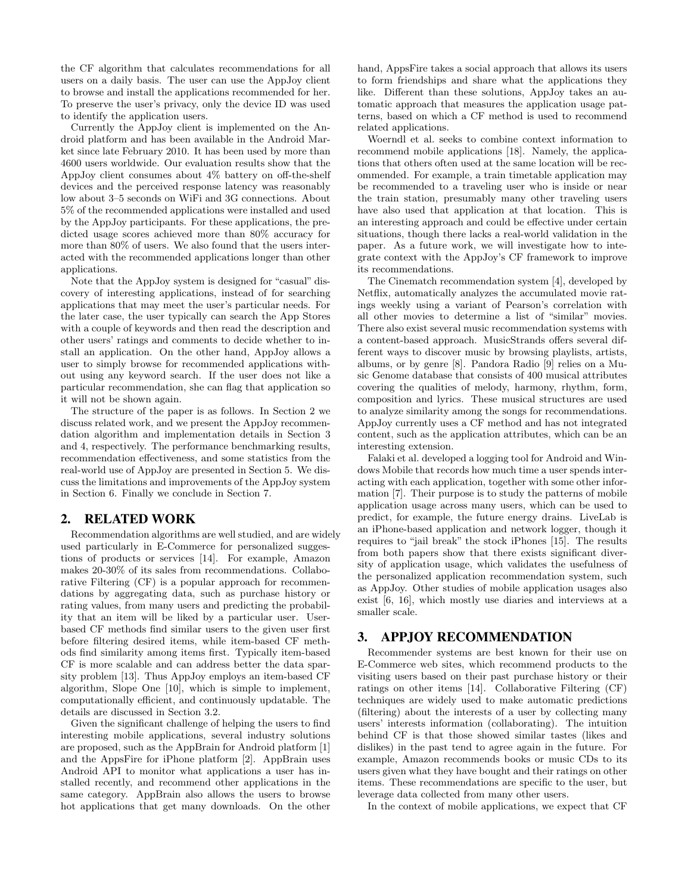the CF algorithm that calculates recommendations for all users on a daily basis. The user can use the AppJoy client to browse and install the applications recommended for her. To preserve the user's privacy, only the device ID was used to identify the application users.

Currently the AppJoy client is implemented on the Android platform and has been available in the Android Market since late February 2010. It has been used by more than 4600 users worldwide. Our evaluation results show that the AppJoy client consumes about 4% battery on off-the-shelf devices and the perceived response latency was reasonably low about 3–5 seconds on WiFi and 3G connections. About 5% of the recommended applications were installed and used by the AppJoy participants. For these applications, the predicted usage scores achieved more than 80% accuracy for more than 80% of users. We also found that the users interacted with the recommended applications longer than other applications.

Note that the AppJoy system is designed for "casual" discovery of interesting applications, instead of for searching applications that may meet the user's particular needs. For the later case, the user typically can search the App Stores with a couple of keywords and then read the description and other users' ratings and comments to decide whether to install an application. On the other hand, AppJoy allows a user to simply browse for recommended applications without using any keyword search. If the user does not like a particular recommendation, she can flag that application so it will not be shown again.

The structure of the paper is as follows. In Section 2 we discuss related work, and we present the AppJoy recommendation algorithm and implementation details in Section 3 and 4, respectively. The performance benchmarking results, recommendation effectiveness, and some statistics from the real-world use of AppJoy are presented in Section 5. We discuss the limitations and improvements of the AppJoy system in Section 6. Finally we conclude in Section 7.

## 2. RELATED WORK

Recommendation algorithms are well studied, and are widely used particularly in E-Commerce for personalized suggestions of products or services [14]. For example, Amazon makes 20-30% of its sales from recommendations. Collaborative Filtering (CF) is a popular approach for recommendations by aggregating data, such as purchase history or rating values, from many users and predicting the probability that an item will be liked by a particular user. Userbased CF methods find similar users to the given user first before filtering desired items, while item-based CF methods find similarity among items first. Typically item-based CF is more scalable and can address better the data sparsity problem [13]. Thus AppJoy employs an item-based CF algorithm, Slope One [10], which is simple to implement, computationally efficient, and continuously updatable. The details are discussed in Section 3.2.

Given the significant challenge of helping the users to find interesting mobile applications, several industry solutions are proposed, such as the AppBrain for Android platform [1] and the AppsFire for iPhone platform [2]. AppBrain uses Android API to monitor what applications a user has installed recently, and recommend other applications in the same category. AppBrain also allows the users to browse hot applications that get many downloads. On the other hand, AppsFire takes a social approach that allows its users to form friendships and share what the applications they like. Different than these solutions, AppJoy takes an automatic approach that measures the application usage patterns, based on which a CF method is used to recommend related applications.

Woerndl et al. seeks to combine context information to recommend mobile applications [18]. Namely, the applications that others often used at the same location will be recommended. For example, a train timetable application may be recommended to a traveling user who is inside or near the train station, presumably many other traveling users have also used that application at that location. This is an interesting approach and could be effective under certain situations, though there lacks a real-world validation in the paper. As a future work, we will investigate how to integrate context with the AppJoy's CF framework to improve its recommendations.

The Cinematch recommendation system [4], developed by Netflix, automatically analyzes the accumulated movie ratings weekly using a variant of Pearson's correlation with all other movies to determine a list of "similar" movies. There also exist several music recommendation systems with a content-based approach. MusicStrands offers several different ways to discover music by browsing playlists, artists, albums, or by genre [8]. Pandora Radio [9] relies on a Music Genome database that consists of 400 musical attributes covering the qualities of melody, harmony, rhythm, form, composition and lyrics. These musical structures are used to analyze similarity among the songs for recommendations. AppJoy currently uses a CF method and has not integrated content, such as the application attributes, which can be an interesting extension.

Falaki et al. developed a logging tool for Android and Windows Mobile that records how much time a user spends interacting with each application, together with some other information [7]. Their purpose is to study the patterns of mobile application usage across many users, which can be used to predict, for example, the future energy drains. LiveLab is an iPhone-based application and network logger, though it requires to "jail break" the stock iPhones [15]. The results from both papers show that there exists significant diversity of application usage, which validates the usefulness of the personalized application recommendation system, such as AppJoy. Other studies of mobile application usages also exist [6, 16], which mostly use diaries and interviews at a smaller scale.

## 3. APPJOY RECOMMENDATION

Recommender systems are best known for their use on E-Commerce web sites, which recommend products to the visiting users based on their past purchase history or their ratings on other items [14]. Collaborative Filtering (CF) techniques are widely used to make automatic predictions (filtering) about the interests of a user by collecting many users' interests information (collaborating). The intuition behind CF is that those showed similar tastes (likes and dislikes) in the past tend to agree again in the future. For example, Amazon recommends books or music CDs to its users given what they have bought and their ratings on other items. These recommendations are specific to the user, but leverage data collected from many other users.

In the context of mobile applications, we expect that CF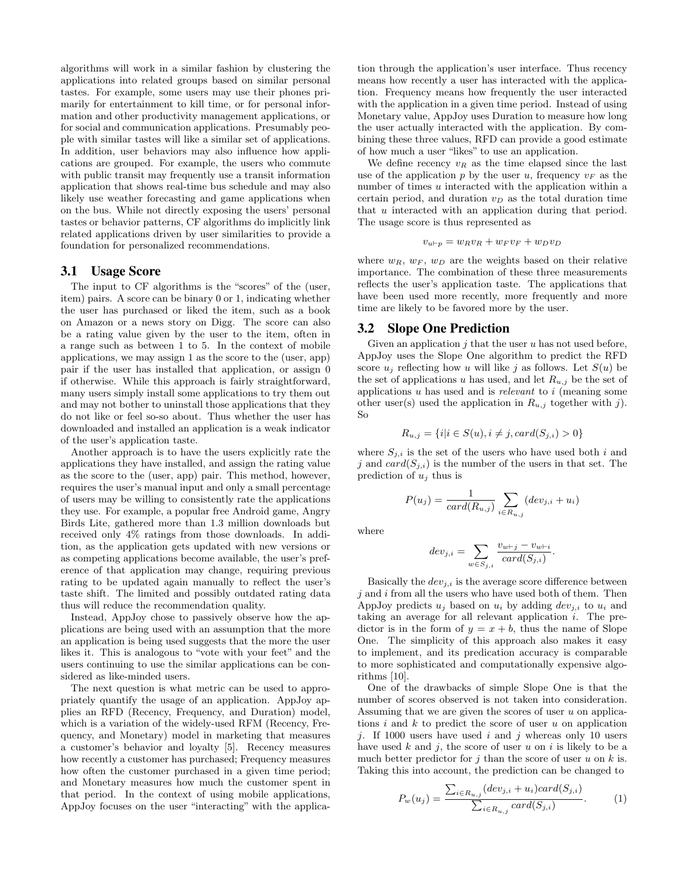algorithms will work in a similar fashion by clustering the applications into related groups based on similar personal tastes. For example, some users may use their phones primarily for entertainment to kill time, or for personal information and other productivity management applications, or for social and communication applications. Presumably people with similar tastes will like a similar set of applications. In addition, user behaviors may also influence how applications are grouped. For example, the users who commute with public transit may frequently use a transit information application that shows real-time bus schedule and may also likely use weather forecasting and game applications when on the bus. While not directly exposing the users' personal tastes or behavior patterns, CF algorithms do implicitly link related applications driven by user similarities to provide a foundation for personalized recommendations.

#### 3.1 Usage Score

The input to CF algorithms is the "scores" of the (user, item) pairs. A score can be binary 0 or 1, indicating whether the user has purchased or liked the item, such as a book on Amazon or a news story on Digg. The score can also be a rating value given by the user to the item, often in a range such as between 1 to 5. In the context of mobile applications, we may assign 1 as the score to the (user, app) pair if the user has installed that application, or assign 0 if otherwise. While this approach is fairly straightforward, many users simply install some applications to try them out and may not bother to uninstall those applications that they do not like or feel so-so about. Thus whether the user has downloaded and installed an application is a weak indicator of the user's application taste.

Another approach is to have the users explicitly rate the applications they have installed, and assign the rating value as the score to the (user, app) pair. This method, however, requires the user's manual input and only a small percentage of users may be willing to consistently rate the applications they use. For example, a popular free Android game, Angry Birds Lite, gathered more than 1.3 million downloads but received only 4% ratings from those downloads. In addition, as the application gets updated with new versions or as competing applications become available, the user's preference of that application may change, requiring previous rating to be updated again manually to reflect the user's taste shift. The limited and possibly outdated rating data thus will reduce the recommendation quality.

Instead, AppJoy chose to passively observe how the applications are being used with an assumption that the more an application is being used suggests that the more the user likes it. This is analogous to "vote with your feet" and the users continuing to use the similar applications can be considered as like-minded users.

The next question is what metric can be used to appropriately quantify the usage of an application. AppJoy applies an RFD (Recency, Frequency, and Duration) model, which is a variation of the widely-used RFM (Recency, Frequency, and Monetary) model in marketing that measures a customer's behavior and loyalty [5]. Recency measures how recently a customer has purchased; Frequency measures how often the customer purchased in a given time period; and Monetary measures how much the customer spent in that period. In the context of using mobile applications, AppJoy focuses on the user "interacting" with the application through the application's user interface. Thus recency means how recently a user has interacted with the application. Frequency means how frequently the user interacted with the application in a given time period. Instead of using Monetary value, AppJoy uses Duration to measure how long the user actually interacted with the application. By combining these three values, RFD can provide a good estimate of how much a user "likes" to use an application.

We define recency  $v_R$  as the time elapsed since the last use of the application p by the user u, frequency  $v_F$  as the number of times u interacted with the application within a certain period, and duration  $v_D$  as the total duration time that u interacted with an application during that period. The usage score is thus represented as

$$
v_{u \vdash p} = w_R v_R + w_F v_F + w_D v_D
$$

where  $w_R$ ,  $w_F$ ,  $w_D$  are the weights based on their relative importance. The combination of these three measurements reflects the user's application taste. The applications that have been used more recently, more frequently and more time are likely to be favored more by the user.

## 3.2 Slope One Prediction

Given an application  $j$  that the user  $u$  has not used before, AppJoy uses the Slope One algorithm to predict the RFD score  $u_j$  reflecting how u will like j as follows. Let  $S(u)$  be the set of applications u has used, and let  $R_{u,j}$  be the set of applications  $u$  has used and is *relevant* to  $i$  (meaning some other user(s) used the application in  $R_{u,j}$  together with j). So

$$
R_{u,j} = \{i | i \in S(u), i \neq j, card(S_{j,i}) > 0\}
$$

where  $S_{j,i}$  is the set of the users who have used both i and j and  $card(S_{j,i})$  is the number of the users in that set. The prediction of  $u_j$  thus is

$$
P(u_j) = \frac{1}{card(R_{u,j})} \sum_{i \in R_{u,j}} (dev_{j,i} + u_i)
$$

where

$$
dev_{j,i} = \sum_{w \in S_{j,i}} \frac{v_{w \vdash j} - v_{w \vdash i}}{card(S_{j,i})}.
$$

Basically the  $dev_{j,i}$  is the average score difference between  $j$  and  $i$  from all the users who have used both of them. Then AppJoy predicts  $u_j$  based on  $u_i$  by adding  $dev_{j,i}$  to  $u_i$  and taking an average for all relevant application  $i$ . The predictor is in the form of  $y = x + b$ , thus the name of Slope One. The simplicity of this approach also makes it easy to implement, and its predication accuracy is comparable to more sophisticated and computationally expensive algorithms [10].

One of the drawbacks of simple Slope One is that the number of scores observed is not taken into consideration. Assuming that we are given the scores of user  $u$  on applications i and  $k$  to predict the score of user u on application j. If 1000 users have used i and j whereas only 10 users have used k and j, the score of user u on i is likely to be a much better predictor for j than the score of user  $u$  on  $k$  is. Taking this into account, the prediction can be changed to

$$
P_w(u_j) = \frac{\sum_{i \in R_{u,j}} (dev_{j,i} + u_i)card(S_{j,i})}{\sum_{i \in R_{u,j}} card(S_{j,i})}.
$$
 (1)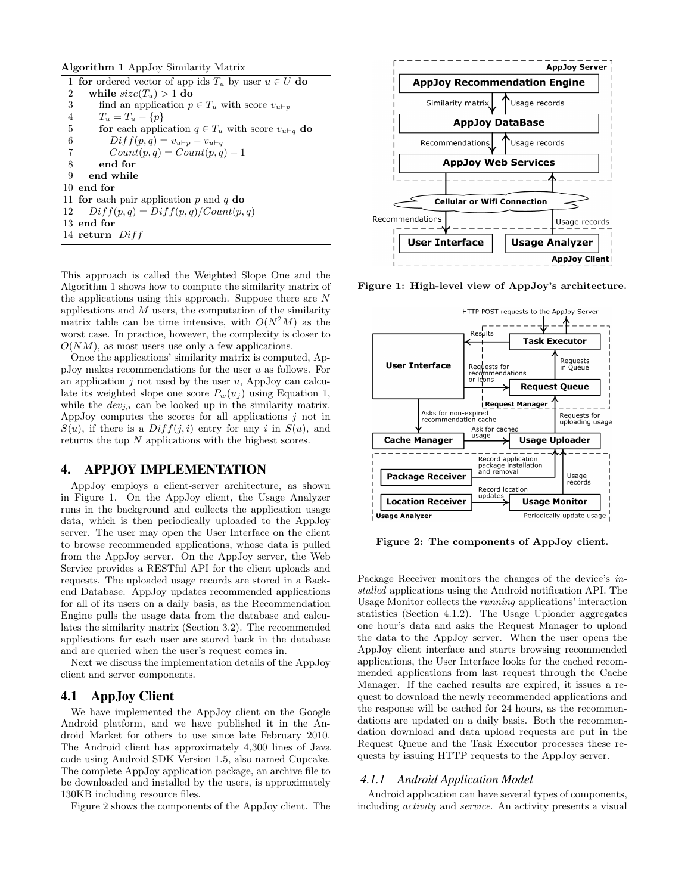Algorithm 1 AppJoy Similarity Matrix

|                | 1 for ordered vector of app ids $T_u$ by user $u \in U$ do      |
|----------------|-----------------------------------------------------------------|
| 2              | while $size(T_u) > 1$ do                                        |
| 3              | find an application $p \in T_u$ with score $v_{u \vdash p}$     |
| $\overline{4}$ | $T_u = T_u - \{p\}$                                             |
| 5              | for each application $q \in T_u$ with score $v_{u \vdash q}$ do |
| 6              | $Diff(p,q) = v_{u \vdash p} - v_{u \vdash q}$                   |
| $\overline{7}$ | $Count(p, q) = Count(p, q) + 1$                                 |
| 8              | end for                                                         |
| 9              | end while                                                       |
|                | $10$ end for                                                    |
|                | 11 for each pair application p and q do                         |
| 12             | $Diff(p,q) = Diff(p,q)/Count(p,q)$                              |
|                | 13 end for                                                      |
|                | 14 return $Diff$                                                |

This approach is called the Weighted Slope One and the Algorithm 1 shows how to compute the similarity matrix of the applications using this approach. Suppose there are N applications and  $M$  users, the computation of the similarity matrix table can be time intensive, with  $O(N^2M)$  as the worst case. In practice, however, the complexity is closer to  $O(NM)$ , as most users use only a few applications.

Once the applications' similarity matrix is computed, AppJoy makes recommendations for the user  $u$  as follows. For an application  $j$  not used by the user  $u$ , AppJoy can calculate its weighted slope one score  $P_w(u_i)$  using Equation 1, while the  $dev_{i,i}$  can be looked up in the similarity matrix. AppJoy computes the scores for all applications  $j$  not in  $S(u)$ , if there is a  $Diff(j, i)$  entry for any i in  $S(u)$ , and returns the top N applications with the highest scores.

## 4. APPJOY IMPLEMENTATION

AppJoy employs a client-server architecture, as shown in Figure 1. On the AppJoy client, the Usage Analyzer runs in the background and collects the application usage data, which is then periodically uploaded to the AppJoy server. The user may open the User Interface on the client to browse recommended applications, whose data is pulled from the AppJoy server. On the AppJoy server, the Web Service provides a RESTful API for the client uploads and requests. The uploaded usage records are stored in a Backend Database. AppJoy updates recommended applications for all of its users on a daily basis, as the Recommendation Engine pulls the usage data from the database and calculates the similarity matrix (Section 3.2). The recommended applications for each user are stored back in the database and are queried when the user's request comes in.

Next we discuss the implementation details of the AppJoy client and server components.

## 4.1 AppJoy Client

We have implemented the AppJoy client on the Google Android platform, and we have published it in the Android Market for others to use since late February 2010. The Android client has approximately 4,300 lines of Java code using Android SDK Version 1.5, also named Cupcake. The complete AppJoy application package, an archive file to be downloaded and installed by the users, is approximately 130KB including resource files.

Figure 2 shows the components of the AppJoy client. The



Figure 1: High-level view of AppJoy's architecture.



Figure 2: The components of AppJoy client.

Package Receiver monitors the changes of the device's *in*stalled applications using the Android notification API. The Usage Monitor collects the running applications' interaction statistics (Section 4.1.2). The Usage Uploader aggregates one hour's data and asks the Request Manager to upload the data to the AppJoy server. When the user opens the AppJoy client interface and starts browsing recommended applications, the User Interface looks for the cached recommended applications from last request through the Cache Manager. If the cached results are expired, it issues a request to download the newly recommended applications and the response will be cached for 24 hours, as the recommendations are updated on a daily basis. Both the recommendation download and data upload requests are put in the Request Queue and the Task Executor processes these requests by issuing HTTP requests to the AppJoy server.

#### *4.1.1 Android Application Model*

Android application can have several types of components, including activity and service. An activity presents a visual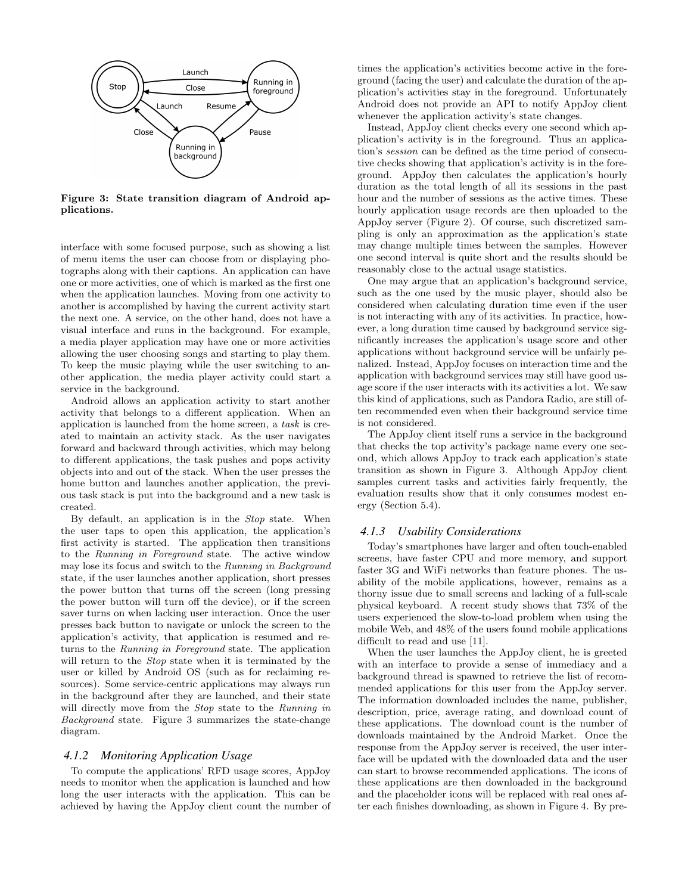

Figure 3: State transition diagram of Android applications.

interface with some focused purpose, such as showing a list of menu items the user can choose from or displaying photographs along with their captions. An application can have one or more activities, one of which is marked as the first one when the application launches. Moving from one activity to another is accomplished by having the current activity start the next one. A service, on the other hand, does not have a visual interface and runs in the background. For example, a media player application may have one or more activities allowing the user choosing songs and starting to play them. To keep the music playing while the user switching to another application, the media player activity could start a service in the background.

Android allows an application activity to start another activity that belongs to a different application. When an application is launched from the home screen, a task is created to maintain an activity stack. As the user navigates forward and backward through activities, which may belong to different applications, the task pushes and pops activity objects into and out of the stack. When the user presses the home button and launches another application, the previous task stack is put into the background and a new task is created.

By default, an application is in the Stop state. When the user taps to open this application, the application's first activity is started. The application then transitions to the Running in Foreground state. The active window may lose its focus and switch to the Running in Background state, if the user launches another application, short presses the power button that turns off the screen (long pressing the power button will turn off the device), or if the screen saver turns on when lacking user interaction. Once the user presses back button to navigate or unlock the screen to the application's activity, that application is resumed and returns to the Running in Foreground state. The application will return to the *Stop* state when it is terminated by the user or killed by Android OS (such as for reclaiming resources). Some service-centric applications may always run in the background after they are launched, and their state will directly move from the Stop state to the Running in Background state. Figure 3 summarizes the state-change diagram.

#### *4.1.2 Monitoring Application Usage*

To compute the applications' RFD usage scores, AppJoy needs to monitor when the application is launched and how long the user interacts with the application. This can be achieved by having the AppJoy client count the number of times the application's activities become active in the foreground (facing the user) and calculate the duration of the application's activities stay in the foreground. Unfortunately Android does not provide an API to notify AppJoy client whenever the application activity's state changes.

Instead, AppJoy client checks every one second which application's activity is in the foreground. Thus an application's session can be defined as the time period of consecutive checks showing that application's activity is in the foreground. AppJoy then calculates the application's hourly duration as the total length of all its sessions in the past hour and the number of sessions as the active times. These hourly application usage records are then uploaded to the AppJoy server (Figure 2). Of course, such discretized sampling is only an approximation as the application's state may change multiple times between the samples. However one second interval is quite short and the results should be reasonably close to the actual usage statistics.

One may argue that an application's background service, such as the one used by the music player, should also be considered when calculating duration time even if the user is not interacting with any of its activities. In practice, however, a long duration time caused by background service significantly increases the application's usage score and other applications without background service will be unfairly penalized. Instead, AppJoy focuses on interaction time and the application with background services may still have good usage score if the user interacts with its activities a lot. We saw this kind of applications, such as Pandora Radio, are still often recommended even when their background service time is not considered.

The AppJoy client itself runs a service in the background that checks the top activity's package name every one second, which allows AppJoy to track each application's state transition as shown in Figure 3. Although AppJoy client samples current tasks and activities fairly frequently, the evaluation results show that it only consumes modest energy (Section 5.4).

#### *4.1.3 Usability Considerations*

Today's smartphones have larger and often touch-enabled screens, have faster CPU and more memory, and support faster 3G and WiFi networks than feature phones. The usability of the mobile applications, however, remains as a thorny issue due to small screens and lacking of a full-scale physical keyboard. A recent study shows that 73% of the users experienced the slow-to-load problem when using the mobile Web, and 48% of the users found mobile applications difficult to read and use [11].

When the user launches the AppJoy client, he is greeted with an interface to provide a sense of immediacy and a background thread is spawned to retrieve the list of recommended applications for this user from the AppJoy server. The information downloaded includes the name, publisher, description, price, average rating, and download count of these applications. The download count is the number of downloads maintained by the Android Market. Once the response from the AppJoy server is received, the user interface will be updated with the downloaded data and the user can start to browse recommended applications. The icons of these applications are then downloaded in the background and the placeholder icons will be replaced with real ones after each finishes downloading, as shown in Figure 4. By pre-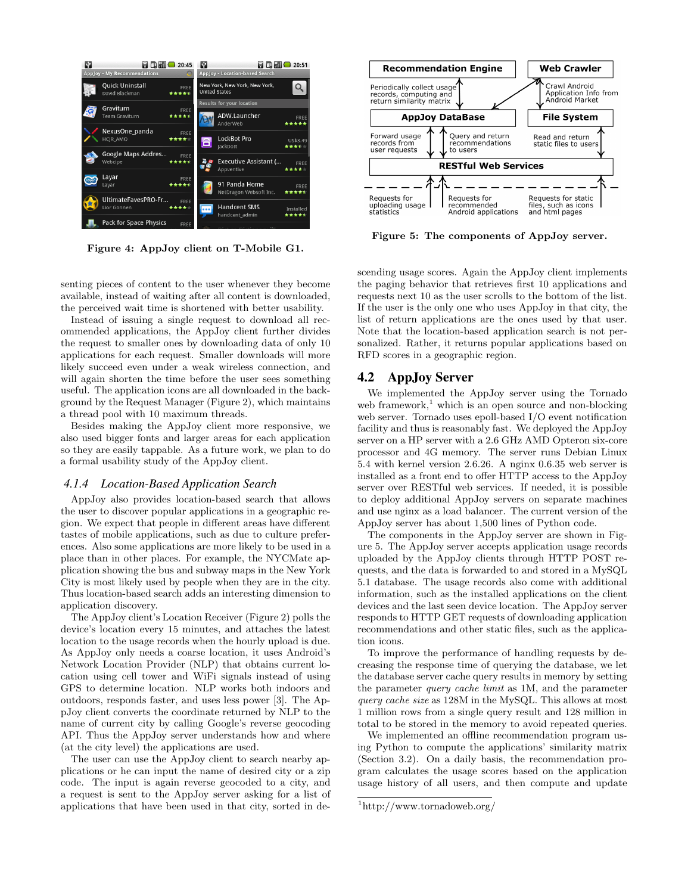

Figure 4: AppJoy client on T-Mobile G1.

senting pieces of content to the user whenever they become available, instead of waiting after all content is downloaded, the perceived wait time is shortened with better usability.

Instead of issuing a single request to download all recommended applications, the AppJoy client further divides the request to smaller ones by downloading data of only 10 applications for each request. Smaller downloads will more likely succeed even under a weak wireless connection, and will again shorten the time before the user sees something useful. The application icons are all downloaded in the background by the Request Manager (Figure 2), which maintains a thread pool with 10 maximum threads.

Besides making the AppJoy client more responsive, we also used bigger fonts and larger areas for each application so they are easily tappable. As a future work, we plan to do a formal usability study of the AppJoy client.

#### *4.1.4 Location-Based Application Search*

AppJoy also provides location-based search that allows the user to discover popular applications in a geographic region. We expect that people in different areas have different tastes of mobile applications, such as due to culture preferences. Also some applications are more likely to be used in a place than in other places. For example, the NYCMate application showing the bus and subway maps in the New York City is most likely used by people when they are in the city. Thus location-based search adds an interesting dimension to application discovery.

The AppJoy client's Location Receiver (Figure 2) polls the device's location every 15 minutes, and attaches the latest location to the usage records when the hourly upload is due. As AppJoy only needs a coarse location, it uses Android's Network Location Provider (NLP) that obtains current location using cell tower and WiFi signals instead of using GPS to determine location. NLP works both indoors and outdoors, responds faster, and uses less power [3]. The AppJoy client converts the coordinate returned by NLP to the name of current city by calling Google's reverse geocoding API. Thus the AppJoy server understands how and where (at the city level) the applications are used.

The user can use the AppJoy client to search nearby applications or he can input the name of desired city or a zip code. The input is again reverse geocoded to a city, and a request is sent to the AppJoy server asking for a list of applications that have been used in that city, sorted in de-



Figure 5: The components of AppJoy server.

scending usage scores. Again the AppJoy client implements the paging behavior that retrieves first 10 applications and requests next 10 as the user scrolls to the bottom of the list. If the user is the only one who uses AppJoy in that city, the list of return applications are the ones used by that user. Note that the location-based application search is not personalized. Rather, it returns popular applications based on RFD scores in a geographic region.

## 4.2 AppJoy Server

We implemented the AppJoy server using the Tornado web framework, $\frac{1}{x}$  which is an open source and non-blocking web server. Tornado uses epoll-based I/O event notification facility and thus is reasonably fast. We deployed the AppJoy server on a HP server with a 2.6 GHz AMD Opteron six-core processor and 4G memory. The server runs Debian Linux 5.4 with kernel version 2.6.26. A nginx 0.6.35 web server is installed as a front end to offer HTTP access to the AppJoy server over RESTful web services. If needed, it is possible to deploy additional AppJoy servers on separate machines and use nginx as a load balancer. The current version of the AppJoy server has about 1,500 lines of Python code.

The components in the AppJoy server are shown in Figure 5. The AppJoy server accepts application usage records uploaded by the AppJoy clients through HTTP POST requests, and the data is forwarded to and stored in a MySQL 5.1 database. The usage records also come with additional information, such as the installed applications on the client devices and the last seen device location. The AppJoy server responds to HTTP GET requests of downloading application recommendations and other static files, such as the application icons.

To improve the performance of handling requests by decreasing the response time of querying the database, we let the database server cache query results in memory by setting the parameter query cache limit as 1M, and the parameter query cache size as 128M in the MySQL. This allows at most 1 million rows from a single query result and 128 million in total to be stored in the memory to avoid repeated queries.

We implemented an offline recommendation program using Python to compute the applications' similarity matrix (Section 3.2). On a daily basis, the recommendation program calculates the usage scores based on the application usage history of all users, and then compute and update

<sup>1</sup>http://www.tornadoweb.org/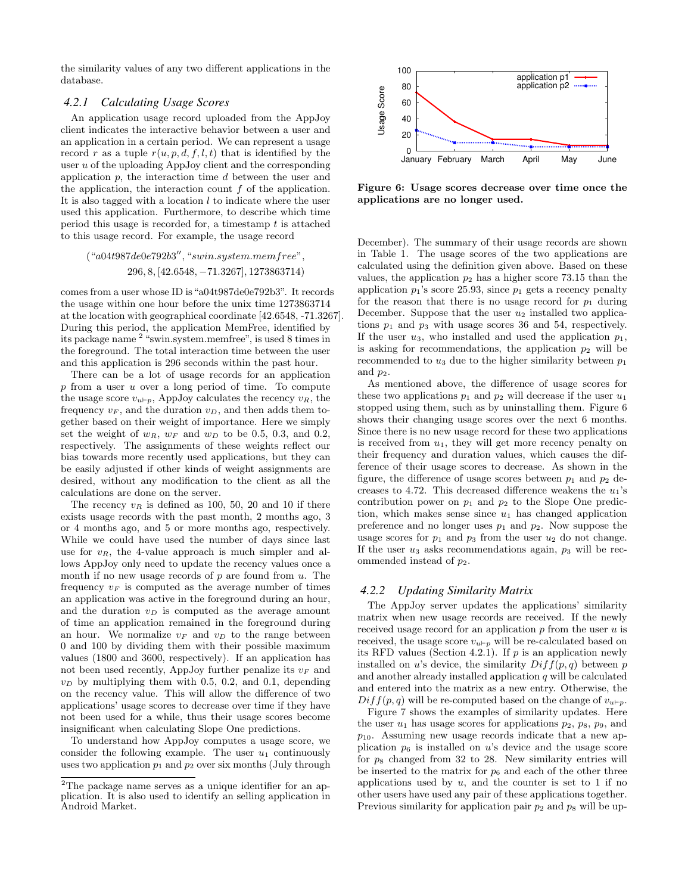the similarity values of any two different applications in the database.

#### *4.2.1 Calculating Usage Scores*

An application usage record uploaded from the AppJoy client indicates the interactive behavior between a user and an application in a certain period. We can represent a usage record r as a tuple  $r(u, p, d, f, l, t)$  that is identified by the user u of the uploading AppJoy client and the corresponding application  $p$ , the interaction time  $d$  between the user and the application, the interaction count f of the application. It is also tagged with a location  $l$  to indicate where the user used this application. Furthermore, to describe which time period this usage is recorded for, a timestamp  $t$  is attached to this usage record. For example, the usage record

# $("a04t987de0e792b3", "swin. system. memfree",$ 296, 8, [42.6548, −71.3267], 1273863714)

comes from a user whose ID is"a04t987de0e792b3". It records the usage within one hour before the unix time 1273863714 at the location with geographical coordinate [42.6548, -71.3267]. During this period, the application MemFree, identified by its package name <sup>2</sup> "swin.system.memfree", is used 8 times in the foreground. The total interaction time between the user and this application is 296 seconds within the past hour.

There can be a lot of usage records for an application p from a user u over a long period of time. To compute the usage score  $v_{u\vdash p}$ , AppJoy calculates the recency  $v_R$ , the frequency  $v_F$ , and the duration  $v_D$ , and then adds them together based on their weight of importance. Here we simply set the weight of  $w_R$ ,  $w_F$  and  $w_D$  to be 0.5, 0.3, and 0.2, respectively. The assignments of these weights reflect our bias towards more recently used applications, but they can be easily adjusted if other kinds of weight assignments are desired, without any modification to the client as all the calculations are done on the server.

The recency  $v_R$  is defined as 100, 50, 20 and 10 if there exists usage records with the past month, 2 months ago, 3 or 4 months ago, and 5 or more months ago, respectively. While we could have used the number of days since last use for  $v_R$ , the 4-value approach is much simpler and allows AppJoy only need to update the recency values once a month if no new usage records of  $p$  are found from  $u$ . The frequency  $v_F$  is computed as the average number of times an application was active in the foreground during an hour, and the duration  $v_D$  is computed as the average amount of time an application remained in the foreground during an hour. We normalize  $v_F$  and  $v_D$  to the range between 0 and 100 by dividing them with their possible maximum values (1800 and 3600, respectively). If an application has not been used recently, AppJoy further penalize its  $v_F$  and  $v_D$  by multiplying them with 0.5, 0.2, and 0.1, depending on the recency value. This will allow the difference of two applications' usage scores to decrease over time if they have not been used for a while, thus their usage scores become insignificant when calculating Slope One predictions.

To understand how AppJoy computes a usage score, we consider the following example. The user  $u_1$  continuously uses two application  $p_1$  and  $p_2$  over six months (July through



Figure 6: Usage scores decrease over time once the applications are no longer used.

December). The summary of their usage records are shown in Table 1. The usage scores of the two applications are calculated using the definition given above. Based on these values, the application  $p_2$  has a higher score 73.15 than the application  $p_1$ 's score 25.93, since  $p_1$  gets a recency penalty for the reason that there is no usage record for  $p_1$  during December. Suppose that the user  $u_2$  installed two applications  $p_1$  and  $p_3$  with usage scores 36 and 54, respectively. If the user  $u_3$ , who installed and used the application  $p_1$ , is asking for recommendations, the application  $p_2$  will be recommended to  $u_3$  due to the higher similarity between  $p_1$ and  $p_2$ .

As mentioned above, the difference of usage scores for these two applications  $p_1$  and  $p_2$  will decrease if the user  $u_1$ stopped using them, such as by uninstalling them. Figure 6 shows their changing usage scores over the next 6 months. Since there is no new usage record for these two applications is received from  $u_1$ , they will get more recency penalty on their frequency and duration values, which causes the difference of their usage scores to decrease. As shown in the figure, the difference of usage scores between  $p_1$  and  $p_2$  decreases to 4.72. This decreased difference weakens the  $u_1$ 's contribution power on  $p_1$  and  $p_2$  to the Slope One prediction, which makes sense since  $u_1$  has changed application preference and no longer uses  $p_1$  and  $p_2$ . Now suppose the usage scores for  $p_1$  and  $p_3$  from the user  $u_2$  do not change. If the user  $u_3$  asks recommendations again,  $p_3$  will be recommended instead of  $p_2$ .

## *4.2.2 Updating Similarity Matrix*

The AppJoy server updates the applications' similarity matrix when new usage records are received. If the newly received usage record for an application  $p$  from the user  $u$  is received, the usage score  $v_{u \vdash p}$  will be re-calculated based on its RFD values (Section 4.2.1). If  $p$  is an application newly installed on u's device, the similarity  $Diff(p, q)$  between p and another already installed application  $q$  will be calculated and entered into the matrix as a new entry. Otherwise, the  $Diff(p, q)$  will be re-computed based on the change of  $v_{u \vdash p}$ .

Figure 7 shows the examples of similarity updates. Here the user  $u_1$  has usage scores for applications  $p_2$ ,  $p_8$ ,  $p_9$ , and  $p_{10}$ . Assuming new usage records indicate that a new application  $p_6$  is installed on u's device and the usage score for  $p_8$  changed from 32 to 28. New similarity entries will be inserted to the matrix for  $p_6$  and each of the other three applications used by  $u$ , and the counter is set to 1 if no other users have used any pair of these applications together. Previous similarity for application pair  $p_2$  and  $p_8$  will be up-

<sup>2</sup>The package name serves as a unique identifier for an application. It is also used to identify an selling application in Android Market.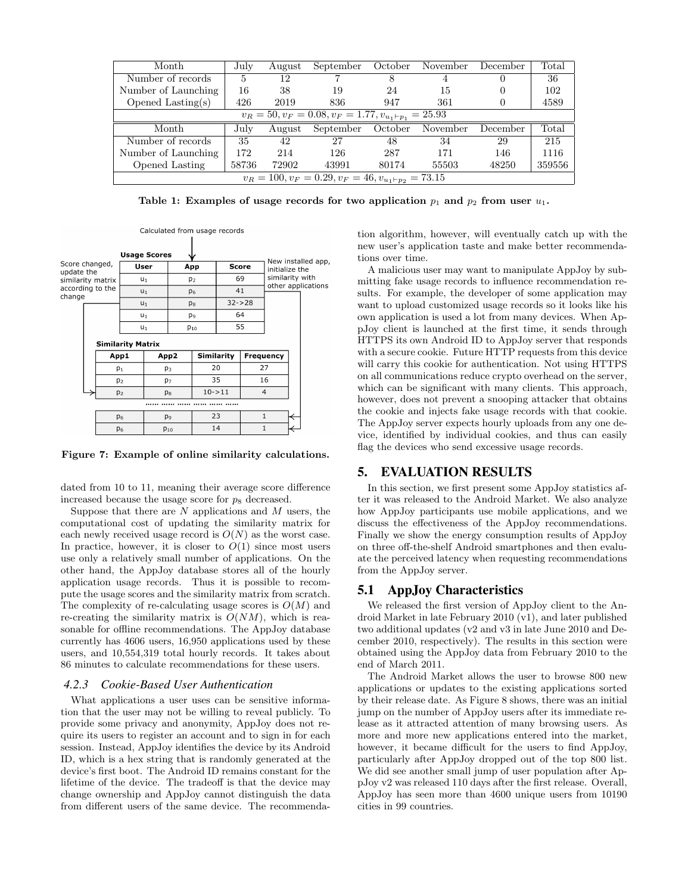| Month                                                          | July  | August | September | October | November | December | $_{\rm Total}$ |
|----------------------------------------------------------------|-------|--------|-----------|---------|----------|----------|----------------|
| Number of records                                              | 5     | 12     |           | 8       | 4        |          | 36             |
| Number of Launching                                            | 16    | 38     | 19        | 24      | 15       |          | 102            |
| Opened Lasting $(s)$                                           | 426   | 2019   | 836       | 947     | 361      |          | 4589           |
| $v_R = 50, v_F = 0.08, v_F = 1.77, v_{u_1 \vdash p_1} = 25.93$ |       |        |           |         |          |          |                |
| Month                                                          | July  | August | September | October | November | December | Total          |
| Number of records                                              | 35    | 42     | 27        | 48      | 34       | 29       | 215            |
| Number of Launching                                            | 172   | 214    | 126       | 287     | 171      | 146      | 1116           |
| Opened Lasting                                                 | 58736 | 72902  | 43991     | 80174   | 55503    | 48250    | 359556         |
| $v_R = 100, v_F = 0.29, v_F = 46, v_{u_1 \vdash p_2} = 73.15$  |       |        |           |         |          |          |                |

Table 1: Examples of usage records for two application  $p_1$  and  $p_2$  from user  $u_1$ .



Figure 7: Example of online similarity calculations.

dated from 10 to 11, meaning their average score difference increased because the usage score for  $p_8$  decreased.

Suppose that there are  $N$  applications and  $M$  users, the computational cost of updating the similarity matrix for each newly received usage record is  $O(N)$  as the worst case. In practice, however, it is closer to  $O(1)$  since most users use only a relatively small number of applications. On the other hand, the AppJoy database stores all of the hourly application usage records. Thus it is possible to recompute the usage scores and the similarity matrix from scratch. The complexity of re-calculating usage scores is  $O(M)$  and re-creating the similarity matrix is  $O(NM)$ , which is reasonable for offline recommendations. The AppJoy database currently has 4606 users, 16,950 applications used by these users, and 10,554,319 total hourly records. It takes about 86 minutes to calculate recommendations for these users.

#### *4.2.3 Cookie-Based User Authentication*

What applications a user uses can be sensitive information that the user may not be willing to reveal publicly. To provide some privacy and anonymity, AppJoy does not require its users to register an account and to sign in for each session. Instead, AppJoy identifies the device by its Android ID, which is a hex string that is randomly generated at the device's first boot. The Android ID remains constant for the lifetime of the device. The tradeoff is that the device may change ownership and AppJoy cannot distinguish the data from different users of the same device. The recommendation algorithm, however, will eventually catch up with the new user's application taste and make better recommendations over time.

A malicious user may want to manipulate AppJoy by submitting fake usage records to influence recommendation results. For example, the developer of some application may want to upload customized usage records so it looks like his own application is used a lot from many devices. When AppJoy client is launched at the first time, it sends through HTTPS its own Android ID to AppJoy server that responds with a secure cookie. Future HTTP requests from this device will carry this cookie for authentication. Not using HTTPS on all communications reduce crypto overhead on the server, which can be significant with many clients. This approach, however, does not prevent a snooping attacker that obtains the cookie and injects fake usage records with that cookie. The AppJoy server expects hourly uploads from any one device, identified by individual cookies, and thus can easily flag the devices who send excessive usage records.

## 5. EVALUATION RESULTS

In this section, we first present some AppJoy statistics after it was released to the Android Market. We also analyze how AppJoy participants use mobile applications, and we discuss the effectiveness of the AppJoy recommendations. Finally we show the energy consumption results of AppJoy on three off-the-shelf Android smartphones and then evaluate the perceived latency when requesting recommendations from the AppJoy server.

# 5.1 AppJoy Characteristics

We released the first version of AppJoy client to the Android Market in late February 2010 (v1), and later published two additional updates (v2 and v3 in late June 2010 and December 2010, respectively). The results in this section were obtained using the AppJoy data from February 2010 to the end of March 2011.

The Android Market allows the user to browse 800 new applications or updates to the existing applications sorted by their release date. As Figure 8 shows, there was an initial jump on the number of AppJoy users after its immediate release as it attracted attention of many browsing users. As more and more new applications entered into the market, however, it became difficult for the users to find AppJoy, particularly after AppJoy dropped out of the top 800 list. We did see another small jump of user population after AppJoy v2 was released 110 days after the first release. Overall, AppJoy has seen more than 4600 unique users from 10190 cities in 99 countries.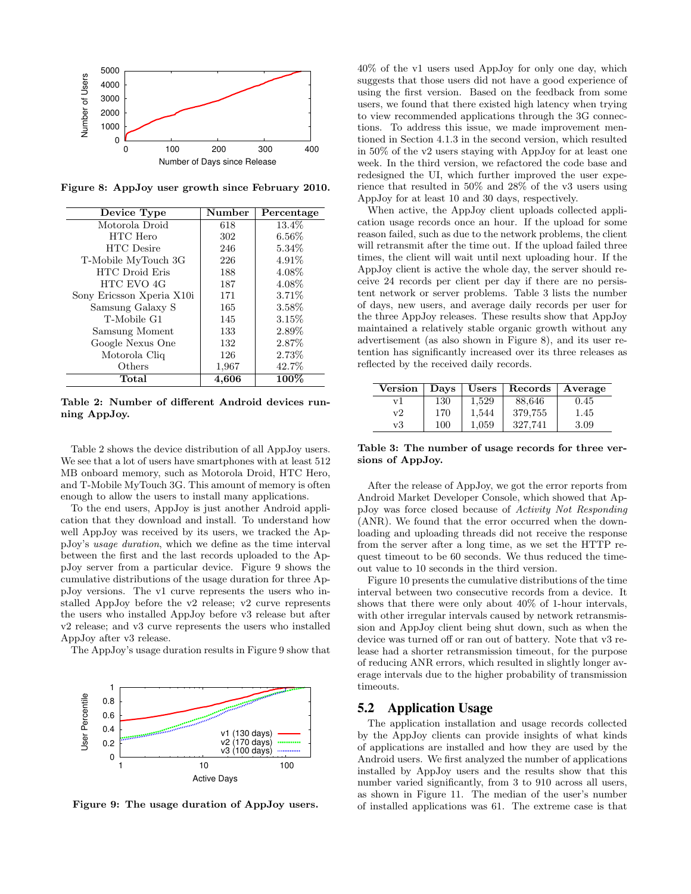

Figure 8: AppJoy user growth since February 2010.

| Device Type               | Number | Percentage |
|---------------------------|--------|------------|
| Motorola Droid            | 618    | 13.4%      |
| HTC Hero                  | 302    | $6.56\%$   |
| <b>HTC</b> Desire         | 246    | 5.34\%     |
| T-Mobile MyTouch 3G       | 226    | 4.91%      |
| <b>HTC</b> Droid Eris     | 188    | 4.08%      |
| HTC EVO 4G                | 187    | 4.08%      |
| Sony Ericsson Xperia X10i | 171    | 3.71\%     |
| Samsung Galaxy S          | 165    | 3.58%      |
| T-Mobile G1               | 145    | 3.15%      |
| Samsung Moment            | 133    | 2.89%      |
| Google Nexus One          | 132    | 2.87%      |
| Motorola Cliq             | 126    | 2.73%      |
| Others                    | 1,967  | 42.7%      |
| Total                     | 4.606  | $100\%$    |

Table 2: Number of different Android devices running AppJoy.

Table 2 shows the device distribution of all AppJoy users. We see that a lot of users have smartphones with at least 512 MB onboard memory, such as Motorola Droid, HTC Hero, and T-Mobile MyTouch 3G. This amount of memory is often enough to allow the users to install many applications.

To the end users, AppJoy is just another Android application that they download and install. To understand how well AppJoy was received by its users, we tracked the AppJoy's usage duration, which we define as the time interval between the first and the last records uploaded to the AppJoy server from a particular device. Figure 9 shows the cumulative distributions of the usage duration for three AppJoy versions. The v1 curve represents the users who installed AppJoy before the v2 release; v2 curve represents the users who installed AppJoy before v3 release but after v2 release; and v3 curve represents the users who installed AppJoy after v3 release.

The AppJoy's usage duration results in Figure 9 show that



Figure 9: The usage duration of AppJoy users.

40% of the v1 users used AppJoy for only one day, which suggests that those users did not have a good experience of using the first version. Based on the feedback from some users, we found that there existed high latency when trying to view recommended applications through the 3G connections. To address this issue, we made improvement mentioned in Section 4.1.3 in the second version, which resulted in 50% of the v2 users staying with AppJoy for at least one week. In the third version, we refactored the code base and redesigned the UI, which further improved the user experience that resulted in 50% and 28% of the v3 users using AppJoy for at least 10 and 30 days, respectively.

When active, the AppJoy client uploads collected application usage records once an hour. If the upload for some reason failed, such as due to the network problems, the client will retransmit after the time out. If the upload failed three times, the client will wait until next uploading hour. If the AppJoy client is active the whole day, the server should receive 24 records per client per day if there are no persistent network or server problems. Table 3 lists the number of days, new users, and average daily records per user for the three AppJoy releases. These results show that AppJoy maintained a relatively stable organic growth without any advertisement (as also shown in Figure 8), and its user retention has significantly increased over its three releases as reflected by the received daily records.

| Version | Davs | <b>Users</b> | Records | Average |
|---------|------|--------------|---------|---------|
| v1      | 130  | 1,529        | 88,646  | 0.45    |
| v2      | 170  | 1,544        | 379,755 | 1.45    |
| v3      | 100  | 1.059        | 327.741 | 3.09    |

Table 3: The number of usage records for three versions of AppJoy.

After the release of AppJoy, we got the error reports from Android Market Developer Console, which showed that AppJoy was force closed because of Activity Not Responding (ANR). We found that the error occurred when the downloading and uploading threads did not receive the response from the server after a long time, as we set the HTTP request timeout to be 60 seconds. We thus reduced the timeout value to 10 seconds in the third version.

Figure 10 presents the cumulative distributions of the time interval between two consecutive records from a device. It shows that there were only about 40% of 1-hour intervals, with other irregular intervals caused by network retransmission and AppJoy client being shut down, such as when the device was turned off or ran out of battery. Note that v3 release had a shorter retransmission timeout, for the purpose of reducing ANR errors, which resulted in slightly longer average intervals due to the higher probability of transmission timeouts.

## 5.2 Application Usage

The application installation and usage records collected by the AppJoy clients can provide insights of what kinds of applications are installed and how they are used by the Android users. We first analyzed the number of applications installed by AppJoy users and the results show that this number varied significantly, from 3 to 910 across all users, as shown in Figure 11. The median of the user's number of installed applications was 61. The extreme case is that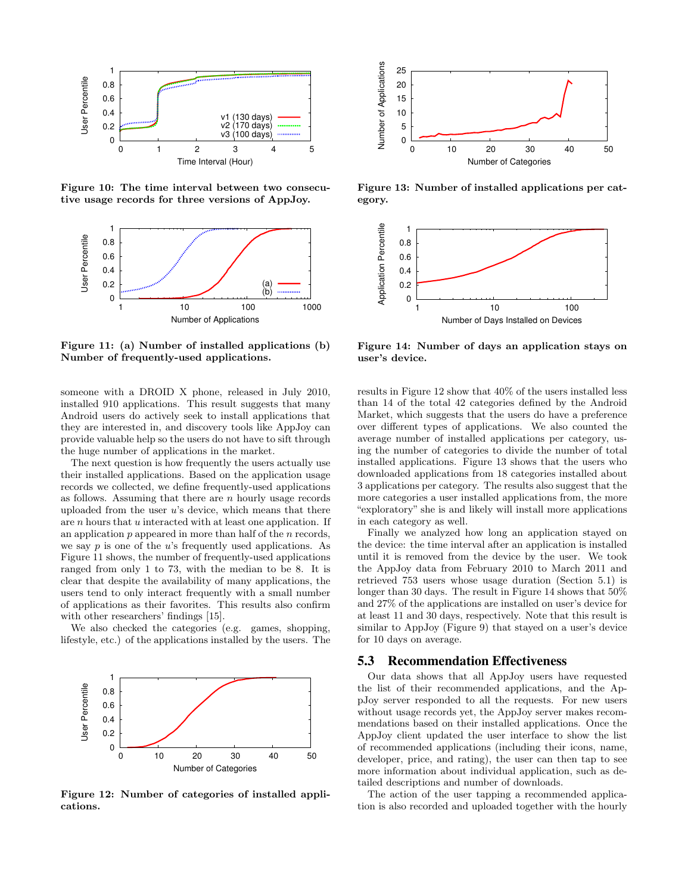

Figure 10: The time interval between two consecutive usage records for three versions of AppJoy.



Figure 11: (a) Number of installed applications (b) Number of frequently-used applications.

someone with a DROID X phone, released in July 2010, installed 910 applications. This result suggests that many Android users do actively seek to install applications that they are interested in, and discovery tools like AppJoy can provide valuable help so the users do not have to sift through the huge number of applications in the market.

The next question is how frequently the users actually use their installed applications. Based on the application usage records we collected, we define frequently-used applications as follows. Assuming that there are n hourly usage records uploaded from the user  $u$ 's device, which means that there are  $n$  hours that  $u$  interacted with at least one application. If an application  $p$  appeared in more than half of the  $n$  records, we say  $p$  is one of the  $u$ 's frequently used applications. As Figure 11 shows, the number of frequently-used applications ranged from only 1 to 73, with the median to be 8. It is clear that despite the availability of many applications, the users tend to only interact frequently with a small number of applications as their favorites. This results also confirm with other researchers' findings [15].

We also checked the categories (e.g. games, shopping, lifestyle, etc.) of the applications installed by the users. The



Figure 12: Number of categories of installed applications.



Figure 13: Number of installed applications per category.



Figure 14: Number of days an application stays on user's device.

results in Figure 12 show that 40% of the users installed less than 14 of the total 42 categories defined by the Android Market, which suggests that the users do have a preference over different types of applications. We also counted the average number of installed applications per category, using the number of categories to divide the number of total installed applications. Figure 13 shows that the users who downloaded applications from 18 categories installed about 3 applications per category. The results also suggest that the more categories a user installed applications from, the more "exploratory" she is and likely will install more applications in each category as well.

Finally we analyzed how long an application stayed on the device: the time interval after an application is installed until it is removed from the device by the user. We took the AppJoy data from February 2010 to March 2011 and retrieved 753 users whose usage duration (Section 5.1) is longer than 30 days. The result in Figure 14 shows that 50% and 27% of the applications are installed on user's device for at least 11 and 30 days, respectively. Note that this result is similar to AppJoy (Figure 9) that stayed on a user's device for 10 days on average.

#### 5.3 Recommendation Effectiveness

Our data shows that all AppJoy users have requested the list of their recommended applications, and the AppJoy server responded to all the requests. For new users without usage records yet, the AppJoy server makes recommendations based on their installed applications. Once the AppJoy client updated the user interface to show the list of recommended applications (including their icons, name, developer, price, and rating), the user can then tap to see more information about individual application, such as detailed descriptions and number of downloads.

The action of the user tapping a recommended application is also recorded and uploaded together with the hourly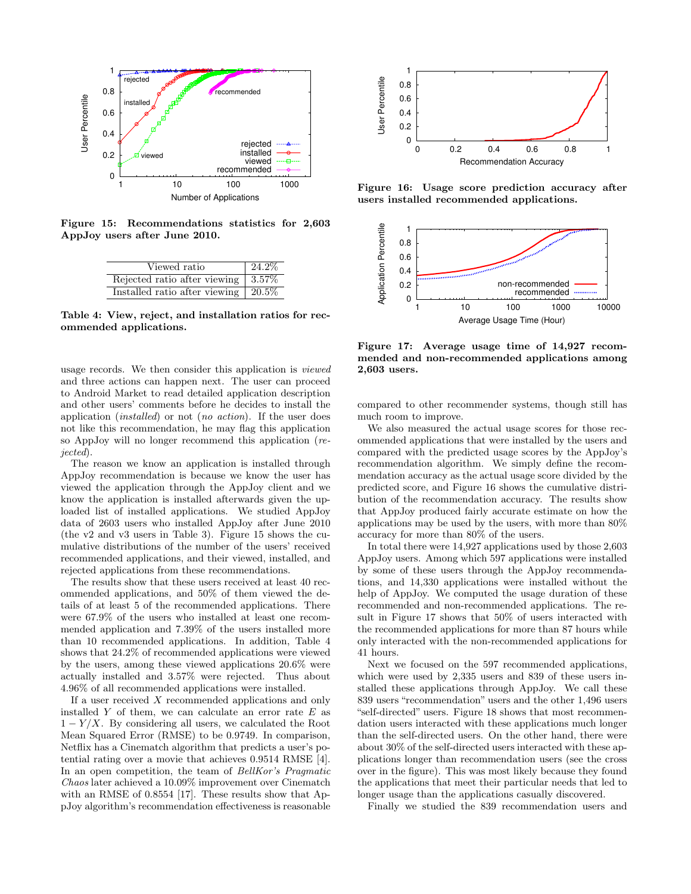

Figure 15: Recommendations statistics for 2,603 AppJoy users after June 2010.

| Viewed ratio                  | 24.2%    |
|-------------------------------|----------|
| Rejected ratio after viewing  | $3.57\%$ |
| Installed ratio after viewing | 20.5%    |

Table 4: View, reject, and installation ratios for recommended applications.

usage records. We then consider this application is viewed and three actions can happen next. The user can proceed to Android Market to read detailed application description and other users' comments before he decides to install the application (installed) or not (no action). If the user does not like this recommendation, he may flag this application so AppJoy will no longer recommend this application (rejected).

The reason we know an application is installed through AppJoy recommendation is because we know the user has viewed the application through the AppJoy client and we know the application is installed afterwards given the uploaded list of installed applications. We studied AppJoy data of 2603 users who installed AppJoy after June 2010 (the v2 and v3 users in Table 3). Figure 15 shows the cumulative distributions of the number of the users' received recommended applications, and their viewed, installed, and rejected applications from these recommendations.

The results show that these users received at least 40 recommended applications, and 50% of them viewed the details of at least 5 of the recommended applications. There were 67.9% of the users who installed at least one recommended application and 7.39% of the users installed more than 10 recommended applications. In addition, Table 4 shows that 24.2% of recommended applications were viewed by the users, among these viewed applications 20.6% were actually installed and 3.57% were rejected. Thus about 4.96% of all recommended applications were installed.

If a user received  $X$  recommended applications and only installed  $Y$  of them, we can calculate an error rate  $E$  as  $1 - Y/X$ . By considering all users, we calculated the Root Mean Squared Error (RMSE) to be 0.9749. In comparison, Netflix has a Cinematch algorithm that predicts a user's potential rating over a movie that achieves 0.9514 RMSE [4]. In an open competition, the team of BellKor's Pragmatic Chaos later achieved a 10.09% improvement over Cinematch with an RMSE of 0.8554 [17]. These results show that AppJoy algorithm's recommendation effectiveness is reasonable



Figure 16: Usage score prediction accuracy after users installed recommended applications.



Figure 17: Average usage time of 14,927 recommended and non-recommended applications among 2,603 users.

compared to other recommender systems, though still has much room to improve.

We also measured the actual usage scores for those recommended applications that were installed by the users and compared with the predicted usage scores by the AppJoy's recommendation algorithm. We simply define the recommendation accuracy as the actual usage score divided by the predicted score, and Figure 16 shows the cumulative distribution of the recommendation accuracy. The results show that AppJoy produced fairly accurate estimate on how the applications may be used by the users, with more than 80% accuracy for more than 80% of the users.

In total there were 14,927 applications used by those 2,603 AppJoy users. Among which 597 applications were installed by some of these users through the AppJoy recommendations, and 14,330 applications were installed without the help of AppJoy. We computed the usage duration of these recommended and non-recommended applications. The result in Figure 17 shows that 50% of users interacted with the recommended applications for more than 87 hours while only interacted with the non-recommended applications for 41 hours.

Next we focused on the 597 recommended applications, which were used by 2,335 users and 839 of these users installed these applications through AppJoy. We call these 839 users "recommendation" users and the other 1,496 users "self-directed" users. Figure 18 shows that most recommendation users interacted with these applications much longer than the self-directed users. On the other hand, there were about 30% of the self-directed users interacted with these applications longer than recommendation users (see the cross over in the figure). This was most likely because they found the applications that meet their particular needs that led to longer usage than the applications casually discovered.

Finally we studied the 839 recommendation users and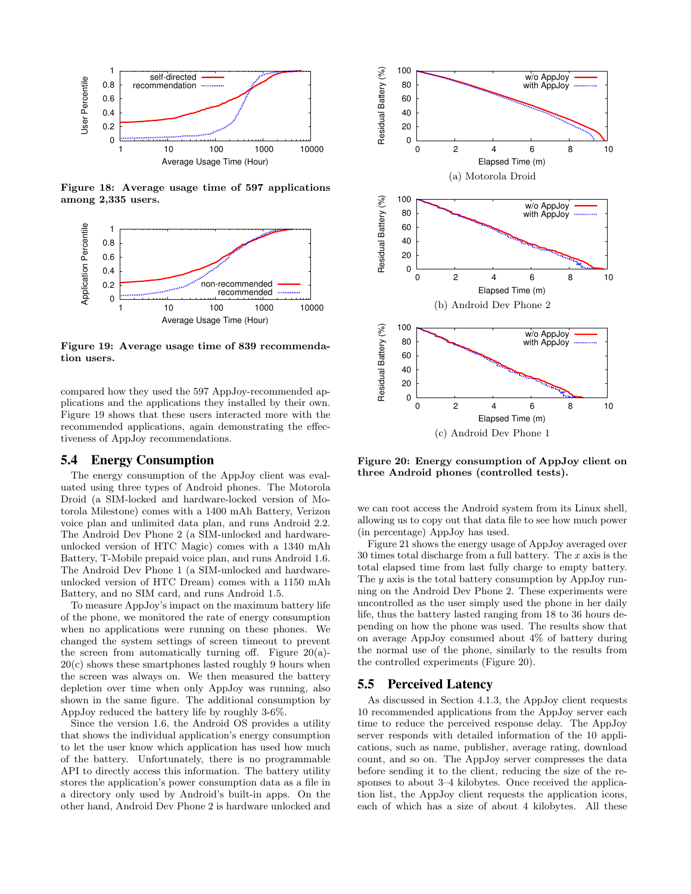

Figure 18: Average usage time of 597 applications among 2,335 users.



Figure 19: Average usage time of 839 recommendation users.

compared how they used the 597 AppJoy-recommended applications and the applications they installed by their own. Figure 19 shows that these users interacted more with the recommended applications, again demonstrating the effectiveness of AppJoy recommendations.

#### 5.4 Energy Consumption

The energy consumption of the AppJoy client was evaluated using three types of Android phones. The Motorola Droid (a SIM-locked and hardware-locked version of Motorola Milestone) comes with a 1400 mAh Battery, Verizon voice plan and unlimited data plan, and runs Android 2.2. The Android Dev Phone 2 (a SIM-unlocked and hardwareunlocked version of HTC Magic) comes with a 1340 mAh Battery, T-Mobile prepaid voice plan, and runs Android 1.6. The Android Dev Phone 1 (a SIM-unlocked and hardwareunlocked version of HTC Dream) comes with a 1150 mAh Battery, and no SIM card, and runs Android 1.5.

To measure AppJoy's impact on the maximum battery life of the phone, we monitored the rate of energy consumption when no applications were running on these phones. We changed the system settings of screen timeout to prevent the screen from automatically turning off. Figure  $20(a)$ - $20(c)$  shows these smartphones lasted roughly 9 hours when the screen was always on. We then measured the battery depletion over time when only AppJoy was running, also shown in the same figure. The additional consumption by AppJoy reduced the battery life by roughly 3-6%.

Since the version 1.6, the Android OS provides a utility that shows the individual application's energy consumption to let the user know which application has used how much of the battery. Unfortunately, there is no programmable API to directly access this information. The battery utility stores the application's power consumption data as a file in a directory only used by Android's built-in apps. On the other hand, Android Dev Phone 2 is hardware unlocked and



Figure 20: Energy consumption of AppJoy client on three Android phones (controlled tests).

we can root access the Android system from its Linux shell, allowing us to copy out that data file to see how much power (in percentage) AppJoy has used.

Figure 21 shows the energy usage of AppJoy averaged over 30 times total discharge from a full battery. The  $x$  axis is the total elapsed time from last fully charge to empty battery. The y axis is the total battery consumption by AppJoy running on the Android Dev Phone 2. These experiments were uncontrolled as the user simply used the phone in her daily life, thus the battery lasted ranging from 18 to 36 hours depending on how the phone was used. The results show that on average AppJoy consumed about 4% of battery during the normal use of the phone, similarly to the results from the controlled experiments (Figure 20).

#### 5.5 Perceived Latency

As discussed in Section 4.1.3, the AppJoy client requests 10 recommended applications from the AppJoy server each time to reduce the perceived response delay. The AppJoy server responds with detailed information of the 10 applications, such as name, publisher, average rating, download count, and so on. The AppJoy server compresses the data before sending it to the client, reducing the size of the responses to about  $3-4$  kilobytes. Once received the application list, the AppJoy client requests the application icons, each of which has a size of about 4 kilobytes. All these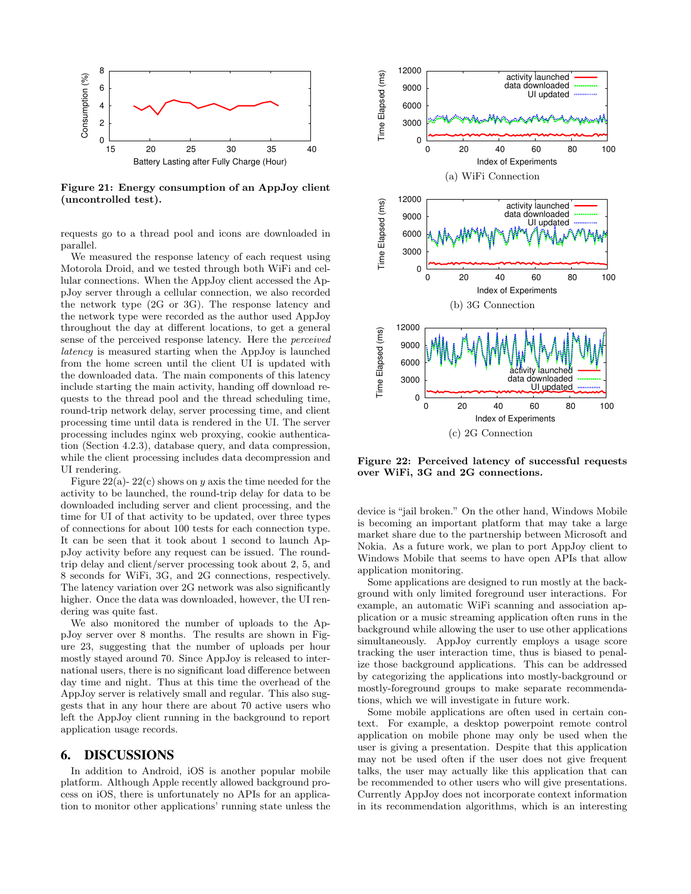

Figure 21: Energy consumption of an AppJoy client (uncontrolled test).

requests go to a thread pool and icons are downloaded in parallel.

We measured the response latency of each request using Motorola Droid, and we tested through both WiFi and cellular connections. When the AppJoy client accessed the AppJoy server through a cellular connection, we also recorded the network type (2G or 3G). The response latency and the network type were recorded as the author used AppJoy throughout the day at different locations, to get a general sense of the perceived response latency. Here the perceived latency is measured starting when the AppJoy is launched from the home screen until the client UI is updated with the downloaded data. The main components of this latency include starting the main activity, handing off download requests to the thread pool and the thread scheduling time, round-trip network delay, server processing time, and client processing time until data is rendered in the UI. The server processing includes nginx web proxying, cookie authentication (Section 4.2.3), database query, and data compression, while the client processing includes data decompression and UI rendering.

Figure 22(a)- 22(c) shows on y axis the time needed for the activity to be launched, the round-trip delay for data to be downloaded including server and client processing, and the time for UI of that activity to be updated, over three types of connections for about 100 tests for each connection type. It can be seen that it took about 1 second to launch AppJoy activity before any request can be issued. The roundtrip delay and client/server processing took about 2, 5, and 8 seconds for WiFi, 3G, and 2G connections, respectively. The latency variation over 2G network was also significantly higher. Once the data was downloaded, however, the UI rendering was quite fast.

We also monitored the number of uploads to the AppJoy server over 8 months. The results are shown in Figure 23, suggesting that the number of uploads per hour mostly stayed around 70. Since AppJoy is released to international users, there is no significant load difference between day time and night. Thus at this time the overhead of the AppJoy server is relatively small and regular. This also suggests that in any hour there are about 70 active users who left the AppJoy client running in the background to report application usage records.

#### 6. DISCUSSIONS

In addition to Android, iOS is another popular mobile platform. Although Apple recently allowed background process on iOS, there is unfortunately no APIs for an application to monitor other applications' running state unless the



Figure 22: Perceived latency of successful requests over WiFi, 3G and 2G connections.

device is "jail broken." On the other hand, Windows Mobile is becoming an important platform that may take a large market share due to the partnership between Microsoft and Nokia. As a future work, we plan to port AppJoy client to Windows Mobile that seems to have open APIs that allow application monitoring.

Some applications are designed to run mostly at the background with only limited foreground user interactions. For example, an automatic WiFi scanning and association application or a music streaming application often runs in the background while allowing the user to use other applications simultaneously. AppJoy currently employs a usage score tracking the user interaction time, thus is biased to penalize those background applications. This can be addressed by categorizing the applications into mostly-background or mostly-foreground groups to make separate recommendations, which we will investigate in future work.

Some mobile applications are often used in certain context. For example, a desktop powerpoint remote control application on mobile phone may only be used when the user is giving a presentation. Despite that this application may not be used often if the user does not give frequent talks, the user may actually like this application that can be recommended to other users who will give presentations. Currently AppJoy does not incorporate context information in its recommendation algorithms, which is an interesting